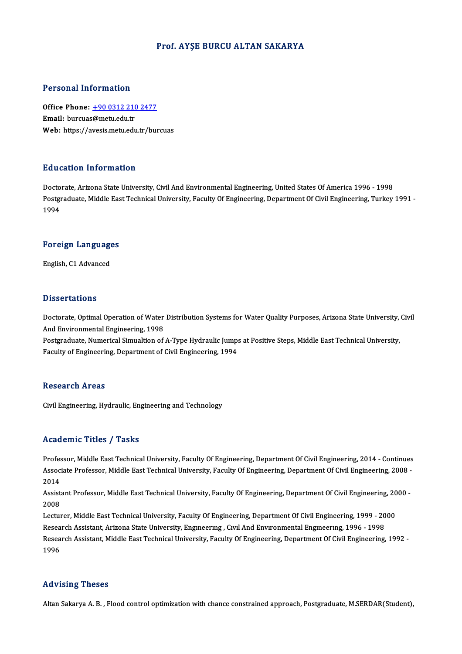### Prof. AYŞE BURCU ALTAN SAKARYA

### Personal Information

Office Phone: +90 0312 210 2477 Email: burcuas@metu.edu.tr Web: https://a[vesis.metu.edu.tr/bur](tel:+90 0312 210 2477)cuas

### Education Information

Doctorate, Arizona State University, Civil And Environmental Engineering, United States Of America 1996 - 1998 Pulusation Timot Inderon<br>Doctorate, Arizona State University, Civil And Environmental Engineering, United States Of America 1996 - 1998<br>Postgraduate, Middle East Technical University, Faculty Of Engineering, Department Of Docto<br>Postgi<br>1994

# 1<sup>994</sup><br>Foreign Languages F<mark>oreign Languag</mark>e<br>English, C1 Advanced

English, C1 Advanced<br>Dissertations

Dissertations<br>Doctorate, Optimal Operation of Water Distribution Systems for Water Quality Purposes, Arizona State University, Civil<br>And Environmental Engineering 1998 *B* 19991 Cattons<br>Doctorate, Optimal Operation of Water<br>And Environmental Engineering, 1998<br>Postareduate Numerical Simualtion of Doctorate, Optimal Operation of Water Distribution Systems for Water Quality Purposes, Arizona State University,<br>And Environmental Engineering, 1998<br>Postgraduate, Numerical Simualtion of A-Type Hydraulic Jumps at Positive

And Environmental Engineering, 1998<br>Postgraduate, Numerical Simualtion of A-Type Hydraulic Jumps at Positive Steps, Middle East Technical University,<br>Faculty of Engineering, Department of Civil Engineering, 1994

### **Research Areas**

Civil Engineering, Hydraulic, Engineering and Technology

### Academic Titles / Tasks

Academic Titles / Tasks<br>Professor, Middle East Technical University, Faculty Of Engineering, Department Of Civil Engineering, 2014 - Continues<br>Associate Professor, Middle Fast Technical University, Faculty Of Engineering, AssociateMice Profes / Profes<br>Professor, Middle East Technical University, Faculty Of Engineering, Department Of Civil Engineering, 2014 - Continues<br>Associate Professor, Middle East Technical University, Faculty Of Enginee Profes<br>Assoc<br>2014<br>Assist Associate Professor, Middle East Technical University, Faculty Of Engineering, Department Of Civil Engineering, 2008 -<br>2014<br>Assistant Professor, Middle East Technical University, Faculty Of Engineering, Department Of Civil

2014<br>Assist<br>2008<br>Lectur Assistant Professor, Middle East Technical University, Faculty Of Engineering, Department Of Civil Engineering, 20<br>2008<br>Lecturer, Middle East Technical University, Faculty Of Engineering, Department Of Civil Engineering, 1

Lecturer, Middle East Technical University, Faculty Of Engineering, Department Of Civil Engineering, 1999 - 2000<br>Research Assistant, Arizona State University, Engineering , Civil And Environmental Engineering, 1996 - 1998 Lecturer, Middle East Technical University, Faculty Of Engineering, Department Of Civil Engineering, 1999 - 2000<br>Research Assistant, Arizona State University, Engmeering , Civil And Environmental Engineering, 1996 - 1998<br>R Resea<br>Resea<br>1996 Advising Theses

Altan Sakarya A.B., Flood control optimization with chance constrained approach, Postgraduate, M.SERDAR(Student),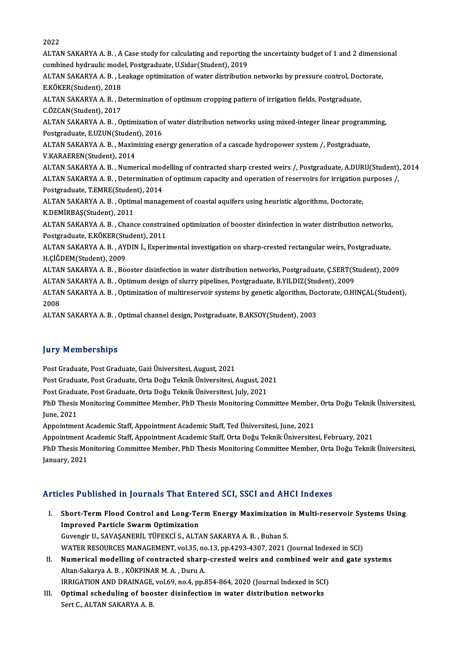2022

2022<br>ALTAN SAKARYA A. B. , A Case study for calculating and reporting the uncertainty budget of 1 and 2 dimensional<br>combined hydroulis model. Pestsynduste, U Siden(Student), 2010. 2022<br>ALTAN SAKARYA A. B. , A Case study for calculating and reporting<br>combined hydraulic model, Postgraduate, U.Sidar(Student), 2019<br>ALTAN SAKARYA A. B. , Leakage entimization of vistor distribution ALTAN SAKARYA A. B. , A Case study for calculating and reporting the uncertainty budget of 1 and 2 dimension<br>combined hydraulic model, Postgraduate, U.Sidar(Student), 2019<br>ALTAN SAKARYA A. B. , Leakage optimization of wate combined hydraulic mode<br>ALTAN SAKARYA A. B. , L.<br>E.KÖKER(Student), 2018<br>ALTAN SAKARYA A. B. D ALTAN SAKARYA A. B. , Leakage optimization of water distribution networks by pressure control, Doc<br>E.KÖKER(Student), 2018<br>ALTAN SAKARYA A. B. , Determination of optimum cropping pattern of irrigation fields, Postgraduate,<br> E.KÖKER(Student), 2018<br>ALTAN SAKARYA A. B. , Determination of optimum cropping pattern of irrigation fields, Postgraduate,<br>C.ÖZCAN(Student), 2017 ALTAN SAKARYA A. B. , Determination of optimum cropping pattern of irrigation fields, Postgraduate,<br>C.ÖZCAN(Student), 2017<br>ALTAN SAKARYA A. B. , Optimization of water distribution networks using mixed-integer linear progra C.ÖZCAN(Student), 2017<br>ALTAN SAKARYA A. B. , Optimization o:<br>Postgraduate, E.UZUN(Student), 2016<br>ALTAN SAKARYA A. B. . Maximizing on ALTAN SAKARYA A. B. , Optimization of water distribution networks using mixed-integer linear programi<br>Postgraduate, E.UZUN(Student), 2016<br>ALTAN SAKARYA A. B. , Maximizing energy generation of a cascade hydropower system /, Postgraduate, E.UZUN(Student), 2016<br>ALTAN SAKARYA A. B. , Maximizing energy generation of a cascade hydropower system /, Postgraduate,<br>V.KARAEREN(Student), 2014 ALTAN SAKARYA A.B., Numerical modelling of contracted sharp crested weirs /, Postgraduate, A.DURU(Student), 2014 V.KARAEREN(Student), 2014<br>ALTAN SAKARYA A. B. , Numerical modelling of contracted sharp crested weirs /, Postgraduate, A.DURU(Student)<br>ALTAN SAKARYA A. B. , Determination of optimum capacity and operation of reservoirs for ALTAN SAKARYA A. B. , Numerical modernical SAKARYA A. B. , Determination<br>Postgraduate, T.EMRE(Student), 2014<br>ALTAN SAKARYA A. B. , Optimal manag ALTAN SAKARYA A. B. , Determination of optimum capacity and operation of reservoirs for irrigation <sub>]</sub><br>Postgraduate, T.EMRE(Student), 2014<br>ALTAN SAKARYA A. B. , Optimal management of coastal aquifers using heuristic algori Postgraduate, T.EMRE(Studen<br>ALTAN SAKARYA A. B. , Optim<br>K.DEMİRBAŞ(Student), 2011<br>ALTAN SAKARYA A. B. , Chane ALTAN SAKARYA A. B. , Optimal management of coastal aquifers using heuristic algorithms, Doctorate,<br>K.DEMİRBAŞ(Student), 2011<br>ALTAN SAKARYA A. B. , Chance constrained optimization of booster disinfection in water distribut K.DEMİRBAŞ(Student), 2011<br>ALTAN SAKARYA A. B. , Chance constrai<br>Postgraduate, E.KÖKER(Student), 2011<br>ALTAN SAKARYA A. B. , AYDIN İ. Evneri ALTAN SAKARYA A. B. , Chance constrained optimization of booster disinfection in water distribution networks<br>Postgraduate, E.KÖKER(Student), 2011<br>ALTAN SAKARYA A. B. , AYDIN İ., Experimental investigation on sharp-crested Postgraduate, E.KÖKER(Stu<br>ALTAN SAKARYA A. B. , AY<br>H.ÇİĞDEM(Student), 2009<br>ALTAN SAKARYA A. B. - Bo ALTAN SAKARYA A. B. , AYDIN İ., Experimental investigation on sharp-crested rectangular weirs, Postgraduate,<br>H.ÇİĞDEM(Student), 2009<br>ALTAN SAKARYA A. B. , Booster disinfection in water distribution networks, Postgraduate, H.ÇİĞDEM(Student), 2009<br>ALTAN SAKARYA A. B. , Booster disinfection in water distribution networks, Postgraduate, Ç.SERT(Student), 2009<br>ALTAN SAKARYA A. B. , Optimum design of slurry pipelines, Postgraduate, B.YILDIZ(Studen ALTAN SAKARYA A. B. , Booster disinfection in water distribution networks, Postgraduate, Ç.SERT(Student), 2009<br>ALTAN SAKARYA A. B. , Optimum design of slurry pipelines, Postgraduate, B.YILDIZ(Student), 2009<br>ALTAN SAKARYA A ALTAI<br>ALTAI<br>2008<br>ALTAI ALTAN SAKARYA A. B. , Optimization of multireservoir systems by genetic algorithm, Do<br>2008<br>ALTAN SAKARYA A. B. , Optimal channel design, Postgraduate, B.AKSOY(Student), 2003 ALTAN SAKARYA A. B. , Optimal channel design, Postgraduate, B.AKSOY(Student), 2003<br>Jury Memberships

Post Graduate, Post Graduate, Gazi Üniversitesi, August, 2021 Jury Tremberempe<br>Post Graduate, Post Graduate, Gazi Üniversitesi, August, 2021<br>Post Graduate, Post Graduate, Orta Doğu Teknik Üniversitesi, August, 2021<br>Post Graduate, Post Graduate, Orta Doğu Teknik Üniversitesi, August, Post Graduate, Post Graduate, Gazi Üniversitesi, August, 2021<br>Post Graduate, Post Graduate, Orta Doğu Teknik Üniversitesi, August, 201<br>Post Graduate, Post Graduate, Orta Doğu Teknik Üniversitesi, July, 2021<br>PhD Thesis Moni Post Graduate, Post Graduate, Orta Doğu Teknik Üniversitesi, August, 2021<br>Post Graduate, Post Graduate, Orta Doğu Teknik Üniversitesi, July, 2021<br>PhD Thesis Monitoring Committee Member, PhD Thesis Monitoring Committee Memb Post Graduate, Post Graduate, Orta Doğu Teknik Üniversitesi, July, 2021<br>PhD Thesis Monitoring Committee Member, PhD Thesis Monitoring Committee Membe<br>June, 2021<br>Appointment Academic Staff, Appointment Academic Staff, Ted Ü PhD Thesis Monitoring Committee Member, PhD Thesis Monitoring Committee Member<br>June, 2021<br>Appointment Academic Staff, Appointment Academic Staff, Ted Üniversitesi, June, 2021<br>Appointment Academic Staff, Appointment Academi June, 2021<br>Appointment Academic Staff, Appointment Academic Staff, Ted Üniversitesi, June, 2021<br>Appointment Academic Staff, Appointment Academic Staff, Orta Doğu Teknik Üniversitesi, February, 2021<br>PhD Thesis Monitoring Co PhD Thesis Monitoring Committee Member, PhD Thesis Monitoring Committee Member, Orta Doğu Teknik Üniversitesi,<br>January, 2021 Appointment A<br>PhD Thesis Mo<br>January, 2021

# Articles Published in Journals That Entered SCI, SSCI and AHCI Indexes

- rticles Published in Journals That Entered SCI, SSCI and AHCI Indexes<br>I. Short-Term Flood Control and Long-Term Energy Maximization in Multi-reservoir Systems Using<br>Improved Particle System Optimization Short-Term Flood Control and Long-Te<br>Improved Particle Swarm Optimization<br>Curencia II, SAVASANEDII, TÜREKÇİ S. ALT Short-Term Flood Control and Long-Term Energy Maximization<br>Improved Particle Swarm Optimization<br>Guvengir U., SAVAŞANERİL TÜFEKCİ S., ALTAN SAKARYA A. B. , Buhan S.<br>WATER RESOURCES MANACEMENT, val 25. no.12.nn 4293,4397,292 I<mark>mproved Particle Swarm Optimization</mark><br>Guvengir U., SAVAŞANERİL TÜFEKCİ S., ALTAN SAKARYA A. B. , Buhan S.<br>WATER RESOURCES MANAGEMENT, vol.35, no.13, pp.4293-4307, 2021 (Journal Indexed in SCI)<br>Numerisel modelling of sentr Guvengir U., SAVAŞANERİL TÜFEKCİ S., ALTAN SAKARYA A. B. , Buhan S.<br>WATER RESOURCES MANAGEMENT, vol.35, no.13, pp.4293-4307, 2021 (Journal Indexed in SCI)<br>II. Numerical modelling of contracted sharp-crested weirs and combi
- WATER RESOURCES MANAGEMENT, vol.35, no<br>Numerical modelling of contracted sharp<br>Altan-Sakarya A. B. , KÖKPINAR M. A. , Duru A.<br>IPPICATION AND DRAINACE vol.50, no.4, nn.6 Numerical modelling of contracted sharp-crested weirs and combined weir<br>Altan-Sakarya A. B. , KÖKPINAR M. A. , Duru A.<br>IRRIGATION AND DRAINAGE, vol.69, no.4, pp.854-864, 2020 (Journal Indexed in SCI)<br>Ontimel scheduling of IRRIGATION AND DRAINAGE, vol.69, no.4, pp.854-864, 2020 (Journal Indexed in SCI)
- Altan-Sakarya A. B., KÖKPINAR M. A., Duru A.<br>IRRIGATION AND DRAINAGE, vol.69, no.4, pp.854-864, 2020 (Journal Indexed in SCI<br>III. Optimal scheduling of booster disinfection in water distribution networks<br>Sert C., ALTAN SAK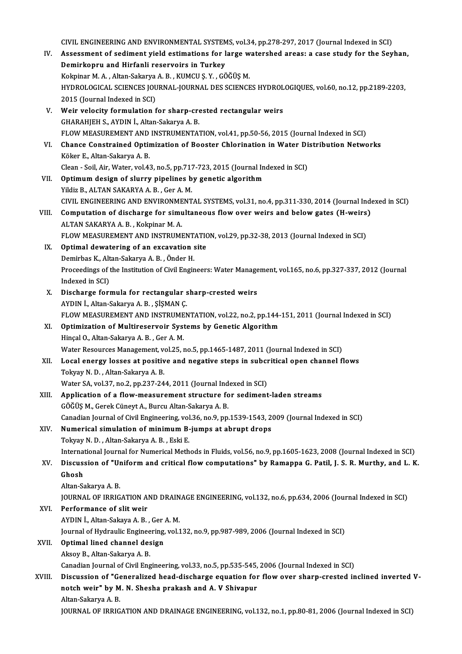CIVIL ENGINEERING AND ENVIRONMENTAL SYSTEMS, vol.34, pp.278-297, 2017 (Journal Indexed in SCI)<br>Assessment of acdiment viald estimations for lange vyatershed aneas: a sess study for the Sev IV. Assessment of sediment yield estimations for large watershed areas: a case study for the Seyhan, CIVIL ENGINEERING AND ENVIRONMENTAL SYSTEM<br>Assessment of sediment yield estimations for l<br>Demirkopru and Hirfanli reservoirs in Turkey<br>Kelminer M.A. Alter Sekawa A.B. KUMCU S.V. CO Assessment of sediment yield estimations for large w<br>Demirkopru and Hirfanli reservoirs in Turkey<br>Kokpinar M.A., Altan-Sakarya A.B., KUMCU Ş.Y., GÖĞÜŞ M.<br>HYDROLOCICAL SCIENCES JOURNAL JOURNAL DES SCIENCE HYDROLOGICAL SCIENCES JOURNAL-JOURNAL DES SCIENCES HYDROLOGIQUES, vol.60, no.12, pp.2189-2203,<br>2015 (Journal Indexed in SCI) Kokpinar M. A. , Altan-Sakarya<br>HYDROLOGICAL SCIENCES JOU<br>2015 (Journal Indexed in SCI)<br>Weir velogity formulation f HYDROLOGICAL SCIENCES JOURNAL-JOURNAL DES SCIENCES HYDROL<br>2015 (Journal Indexed in SCI)<br>V. Weir velocity formulation for sharp-crested rectangular weirs<br>CHARAHIEH S. AVDIN L. Altan Sakarya A. B 2015 (Journal Indexed in SCI)<br>Weir velocity formulation for sharp-cre<br>GHARAHJEH S., AYDIN İ., Altan-Sakarya A. B.<br>ELOW MEASUREMENT AND INSTRUMENTA' Weir velocity formulation for sharp-crested rectangular weirs<br>GHARAHJEH S., AYDIN İ., Altan-Sakarya A. B.<br>FLOW MEASUREMENT AND INSTRUMENTATION, vol.41, pp.50-56, 2015 (Journal Indexed in SCI)<br>Change Constrained Ontimizatio GHARAHJEH S., AYDIN İ., Altan-Sakarya A. B.<br>FLOW MEASUREMENT AND INSTRUMENTATION, vol.41, pp.50-56, 2015 (Journal Indexed in SCI)<br>VI. Chance Constrained Optimization of Booster Chlorination in Water Distribution Networks<br>K FLOW MEASUREMENT AND<br>Chance Constrained Optin<br>Köker E., Altan-Sakarya A. B.<br>Clean - Sail Air Water vol 43 Chance Constrained Optimization of Booster Chlorination in Water Di<br>Köker E., Altan-Sakarya A. B.<br>Clean - Soil, Air, Water, vol.43, no.5, pp.717-723, 2015 (Journal Indexed in SCI)<br>Ontimum design of sluppy pinelines by sena Köker E., Altan-Sakarya A. B.<br>Clean - Soil, Air, Water, vol.43, no.5, pp.717-723, 2015 (Journal In VII. Optimum design of slurry pipelines by genetic algorithm<br>VII. Optimum design of slurry pipelines by genetic algorithm Clean - Soil, Air, Water, vol.43, no.5, pp.717<br>Optimum design of slurry pipelines b<br>Yildiz B., ALTAN SAKARYA A. B. , Ger A. M.<br>CIVIL ENCINEERING AND ENVIRONMENT Optimum design of slurry pipelines by genetic algorithm<br>Yildiz B., ALTAN SAKARYA A. B. , Ger A. M.<br>CIVIL ENGINEERING AND ENVIRONMENTAL SYSTEMS, vol.31, no.4, pp.311-330, 2014 (Journal Indexed in SCI)<br>Computation of dischar Yildiz B., ALTAN SAKARYA A. B. , Ger A. M.<br>CIVIL ENGINEERING AND ENVIRONMENTAL SYSTEMS, vol.31, no.4, pp.311-330, 2014 (Journal Index CIVIL Computation of discharge for simultaneous flow over weirs and below gates (H-weirs CIVIL ENGINEERING AND ENVIRONME<br>Computation of discharge for simu<br>ALTAN SAKARYA A. B. , Kokpinar M. A.<br>ELOW MEASUPEMENT AND INSTRUMI VIII. Computation of discharge for simultaneous flow over weirs and below gates (H-weirs)<br>ALTAN SAKARYA A. B., Kokpinar M. A.<br>FLOW MEASUREMENT AND INSTRUMENTATION, vol.29, pp.32-38, 2013 (Journal Indexed in SCI) ALTAN SAKARYA A. B., Kokpinar M. A.<br>FLOW MEASUREMENT AND INSTRUMENTATION.<br>IX. Optimal dewatering of an excavation site<br>Demirbes K. Altan Sakawya A. B. Önder H. FLOW MEASUREMENT AND INSTRUMENT.<br>Optimal dewatering of an excavation s<br>Demirbas K., Altan-Sakarya A. B. , Önder H.<br>Preseedings of the Institution of Civil Engin Proceedings of the Institution of Civil Engineers: Water Management, vol.165, no.6, pp.327-337, 2012 (Journal Indexed in SCI) Demirbas K., Altan-Sakarya A. B., Önder H. Proceedings of the Institution of Civil Engineers: Water Manage<br>Indexed in SCI)<br>X. Discharge formula for rectangular sharp-crested weirs<br>AVDIN LARED Sekarya A B SISMAN C Indexed in SCI)<br>Discharge formula for rectangular s<br>AYDIN İ., Altan-Sakarya A.B. , ŞİŞMAN Ç.<br>ELOW MEASUPEMENT AND INSTPUMEN Discharge formula for rectangular sharp-crested weirs<br>AYDIN İ., Altan-Sakarya A. B. , ŞİŞMAN Ç.<br>FLOW MEASUREMENT AND INSTRUMENTATION, vol.22, no.2, pp.144-151, 2011 (Journal Indexed in SCI)<br>Ontimiration of Multireserveir S AYDIN İ., Altan-Sakarya A. B. , ŞİŞMAN Ç.<br>FLOW MEASUREMENT AND INSTRUMENTATION, vol.22, no.2, pp.144-<br>XI. Optimization of Multireservoir Systems by Genetic Algorithm<br>Hingel O. Altan Sakarya A. B. Cor A. M FLOW MEASUREMENT AND INSTRUME<br>Optimization of Multireservoir Syst<br>Hinçal O., Altan-Sakarya A. B. , Ger A. M.<br>Water Becourses Manasement vol.25 XI. Optimization of Multireservoir Systems by Genetic Algorithm<br>Hinçal O., Altan-Sakarya A. B. , Ger A. M.<br>Water Resources Management, vol.25, no.5, pp.1465-1487, 2011 (Journal Indexed in SCI) Hinçal O., Altan-Sakarya A. B. , Ger A. M.<br>Water Resources Management, vol.25, no.5, pp.1465-1487, 2011 (Journal Indexed in SCI)<br>XII. Local energy losses at positive and negative steps in subcritical open channel flows<br>Tel Water Resources Management, v<br>**Local energy losses at positiv<br>Tokyay N. D. , Altan-Sakarya A. B.**<br>Water SA. vol 37, no 3, nn 337, 34 Local energy losses at positive and negative steps in subcr<br>Tokyay N. D. , Altan-Sakarya A. B.<br>Water SA, vol.37, no.2, pp.237-244, 2011 (Journal Indexed in SCI)<br>Annligation of a flow measurement structure for acdiment Tokyay N. D. , Altan-Sakarya A. B.<br>Water SA, vol.37, no.2, pp.237-244, 2011 (Journal Indexed in SCI)<br>XIII. Application of a flow-measurement structure for sediment-laden streams GÖĞÜŞM.,GerekCüneytA.,BurcuAltan-SakaryaA.B. Application of a flow-measurement structure for sediment-laden streams<br>GÖĞÜŞ M., Gerek Cüneyt A., Burcu Altan-Sakarya A. B.<br>Canadian Journal of Civil Engineering, vol.36, no.9, pp.1539-1543, 2009 (Journal Indexed in SCI)<br>N GÖĞÜŞ M., Gerek Cüneyt A., Burcu Altan-Sakarya A. B.<br>Canadian Journal of Civil Engineering, vol.36, no.9, pp.1539-1543, 2<br>XIV. Numerical simulation of minimum B-jumps at abrupt drops<br>Telricy N. D., Altan Sakarya A. B., Esk Canadian Journal of Civil Engineering, vol<br>Numerical simulation of minimum B-<br>Tokyay N. D. , Altan-Sakarya A. B. , Eski E.<br>International Journal for Numerical Meth Numerical simulation of minimum B-jumps at abrupt drops<br>Tokyay N. D. , Altan-Sakarya A. B. , Eski E.<br>International Journal for Numerical Methods in Fluids, vol.56, no.9, pp.1605-1623, 2008 (Journal Indexed in SCI) Tokyay N. D. , Altan-Sakarya A. B. , Eski E.<br>International Journal for Numerical Methods in Fluids, vol.56, no.9, pp.1605-1623, 2008 (Journal Indexed in SCI)<br>XV. Discussion of "Uniform and critical flow computations" b Internat<br>Discus:<br>Ghosh<br>Altan Sa Discussion of "Ur<br>Ghosh<br>Altan-Sakarya A. B.<br>JOUPNAL OF IPPIC Ghosh<br>Altan-Sakarya A. B.<br>JOURNAL OF IRRIGATION AND DRAINAGE ENGINEERING, vol.132, no.6, pp.634, 2006 (Journal Indexed in SCI)<br>Performance of slit weir Altan-Sakarya A. B.<br>JOURNAL OF IRRIGATION AND DRAIN<br>XVI. Performance of slit weir<br>AYDIN I., Altan-Sakaya A. B. , Ger A. M. **JOURNAL OF IRRIGATION AND DRAIN<br>Performance of slit weir<br>AYDIN İ., Altan-Sakaya A. B. , Ger A. M.<br>Journal of Hydroulis Engineering, vol 1** Performance of slit weir<br>AYDIN İ., Altan-Sakaya A. B. , Ger A. M.<br>Journal of Hydraulic Engineering, vol.132, no.9, pp.987-989, 2006 (Journal Indexed in SCI)<br>Ontimel lined shannel design XVII. Optimal lined channel design<br>Aksoy B., Altan-Sakarya A. B. Journal of Hydraulic Enginee<br><mark>Optimal lined channel de</mark>s<br>Aksoy B., Altan-Sakarya A. B.<br>Canadian Journal of Civil Eng Canadian Journal of Civil Engineering, vol.33, no.5, pp.535-545, 2006 (Journal Indexed in SCI) Aksoy B., Altan-Sakarya A. B.<br>Canadian Journal of Civil Engineering, vol.33, no.5, pp.535-545, 2006 (Journal Indexed in SCI)<br>XVIII. Discussion of "Generalized head-discharge equation for flow over sharp-crested inclined in Canadian Journal of Civil Engineering, vol.33, no.5, pp.535-545,<br>Discussion of "Generalized head-discharge equation for<br>notch weir" by M. N. Shesha prakash and A. V Shivapur<br>Altan Sakawa A. B Discussion of "Ge<br>notch weir" by M<br>Altan-Sakarya A. B.<br>JOUPMAL OF IPPIC notch weir" by M. N. Shesha prakash and A. V Shivapur<br>Altan-Sakarya A. B.<br>JOURNAL OF IRRIGATION AND DRAINAGE ENGINEERING, vol.132, no.1, pp.80-81, 2006 (Journal Indexed in SCI)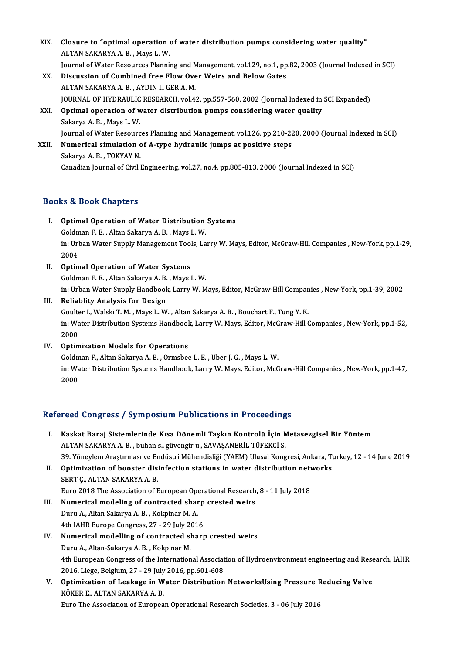XIX. Closure to "optimal operation of water distribution pumps considering water quality"<br>ALTAN SAKARYA A. B. MOVR L.W. Closure to "optimal operation<br>ALTAN SAKARYA A. B. , Mays L. W.<br>Journal of Water Besourses Planni ALTAN SAKARYA A. B. , Mays L. W.<br>Journal of Water Resources Planning and Management, vol.129, no.1, pp.82, 2003 (Journal Indexed in SCI) ALTAN SAKARYA A. B., Mays L. W.<br>Journal of Water Resources Planning and Management, vol.129, no.1, pp<br>XX. Discussion of Combined free Flow Over Weirs and Below Gates Journal of Water Resources Planning and M<br>Discussion of Combined free Flow Ove<br>ALTAN SAKARYA A. B. , AYDIN I., GER A. M.<br>JOUPMAL OF HYDRAULIC RESEARCH, vol.4: ALTAN SAKARYA A. B. , AYDIN I., GER A. M.<br>JOURNAL OF HYDRAULIC RESEARCH, vol.42, pp.557-560, 2002 (Journal Indexed in SCI Expanded) ALTAN SAKARYA A. B., AYDIN I., GER A. M.<br>JOURNAL OF HYDRAULIC RESEARCH, vol.42, pp.557-560, 2002 (Journal Indexed in<br>XXI. Optimal operation of water distribution pumps considering water quality<br>Selection A. B. Mays J. W. **JOURNAL OF HYDRAULIC<br>Optimal operation of w<br>Sakarya A. B. , Mays L. W.<br>Journal of Water Becours** Sakarya A. B. , Mays L. W.<br>Journal of Water Resources Planning and Management, vol.126, pp.210-220, 2000 (Journal Indexed in SCI) Sakarya A. B. , Mays L. W.<br>Journal of Water Resources Planning and Management, vol.126, pp.210-22<br>XXII. Numerical simulation of A-type hydraulic jumps at positive steps<br>Sakarya A. B. TOKYAV N Journal of Water Resourc<br><mark>Numerical simulation c</mark><br>Sakarya A. B. , TOKYAY N.<br>Canadian Journal of Civil I

Sakarya A. B., TOKYAY N.<br>Canadian Journal of Civil Engineering, vol.27, no.4, pp.805-813, 2000 (Journal Indexed in SCI)

# Books&Book Chapters

- I. Optimal Operation of Water Distribution Systems Sold Dook diapters<br>Optimal Operation of Water Distribution<br>Goldman F. E. , Altan Sakarya A. B. , Mays L.W.<br>in: Urban Water Sunnly Managament Teols Le in: Urban Water Supply Management Tools, Larry W. Mays, Editor, McGraw-Hill Companies , New-York, pp.1-29, 2004 Goldm<br>in: Url<br>2004<br>Ontim
- II. Optimal Operation of Water Systems Goldman F. E., Altan Sakarya A. B., Mays L. W. Optimal Operation of Water Systems<br>Goldman F. E. , Altan Sakarya A. B. , Mays L. W.<br>in: Urban Water Supply Handbook, Larry W. Mays, Editor, McGraw-Hill Companies , New-York, pp.1-39, 2002<br>Boliablity Analysis for Dosign

III. Reliablity Analysis for Design<br>Goulter I., Walski T. M., Mays L. W., Altan Sakarya A. B., Bouchart F., Tung Y. K. in: Urban Water Supply Handbook, Larry W. Mays, Editor, McGraw-Hill Compar<br>Reliablity Analysis for Design<br>Goulter I., Walski T. M. , Mays L. W. , Altan Sakarya A. B. , Bouchart F., Tung Y. K.<br>in: Water Distribution Systems Reliablity Analysis for Design<br>Goulter I., Walski T. M. , Mays L. W. , Altan Sakarya A. B. , Bouchart F., Tung Y. K.<br>in: Water Distribution Systems Handbook, Larry W. Mays, Editor, McGraw-Hill Companies , New-York, pp.1-52 Goulte<br>in: Wa<br>2000<br>Ontim in: Water Distribution Systems Handbook<br>2000<br>IV. Optimization Models for Operations<br>Coldman E. Altan Sekarya A. B. Oxmabes

2000<br>IV. Optimization Models for Operations<br>Goldman F., Altan Sakarya A. B. , Ormsbee L. E. , Uber J. G. , Mays L. W. Optimization Models for Operations<br>Goldman F., Altan Sakarya A. B. , Ormsbee L. E. , Uber J. G. , Mays L. W.<br>in: Water Distribution Systems Handbook, Larry W. Mays, Editor, McGraw-Hill Companies , New-York, pp.1-47,<br>2000 Goldm<br>in: Wa<br>2000 2000<br>Refereed Congress / Symposium Publications in Proceedings

I. Kaskat Baraj Sistemlerinde Kısa Dönemli Taşkın Kontrolü İçin Metasezgisel Bir Yöntem ALTAN SAKARYA A.B., buhan s., güvengir u., SAVAŞANERİL TÜFEKCİ S. Kaskat Baraj Sistemlerinde Kısa Dönemli Taşkın Kontrolü İçin Metasezgisel Bir Yöntem<br>ALTAN SAKARYA A. B. , buhan s., güvengir u., SAVAŞANERİL TÜFEKCİ S.<br>39. Yöneylem Araştırması ve Endüstri Mühendisliği (YAEM) Ulusal Kongr II. Optimization of booster disinfection stations in water distribution networks<br>SERT C., ALTAN SAKARYA A. B. 39. Yöneylem Araştırması ve Er<br>**Optimization of booster dis:**<br>SERT Ç., ALTAN SAKARYA A. B.<br>Euro 2019 The Association of E Optimization of booster disinfection stations in water distribution network<br>SERT Ç., ALTAN SAKARYA A. B.<br>Euro 2018 The Association of European Operational Research, 8 - 11 July 2018<br>Numerical modeling of contracted sharp c SERT Ç., ALTAN SAKARYA A. B.<br>Euro 2018 The Association of European Operational Research<br>III. Numerical modeling of contracted sharp crested weirs<br>Dumu A. Altan Sakawya A. B. Kakpinar M. A. Euro 2018 The Association of European Ope<br>**Numerical modeling of contracted shar**<br>Duru A., Altan Sakarya A. B. , Kokpinar M. A.<br>4th JAHR Europe Congress 27, 29 July 201 III. Numerical modeling of contracted sharp crested weirs<br>Duru A., Altan Sakarya A. B., Kokpinar M. A.<br>4th IAHR Europe Congress, 27 - 29 July 2016 IV. Numerical modelling of contracted sharp crested weirs Duru A., Altan-Sakarya A. B., Kokpinar M. Numerical modelling of contracted sharp crested weirs<br>Duru A., Altan-Sakarya A. B. , Kokpinar M.<br>4th European Congress of the International Association of Hydroenvironment engineering and Research, IAHR<br>2016 Lisse Belsium Duru A., Altan-Sakarya A. B. , Kokpinar M.<br>4th European Congress of the International Associat<br>2016, Liege, Belgium, 27 - 29 July 2016, pp.601-608<br>Ontimination of Lockage in Water Distribution 4th European Congress of the International Association of Hydroenvironment engineering and Rese<br>2016, Liege, Belgium, 27 - 29 July 2016, pp.601-608<br>V. Optimization of Leakage in Water Distribution NetworksUsing Pressure Re 2016, Liege, Belgium, 27 - 29 July<br>Optimization of Leakage in W<br>KÖKER E., ALTAN SAKARYA A. B.<br>Euro The Association of Europea Optimization of Leakage in Water Distribution NetworksUsing Pressure F<br>KÖKER E., ALTAN SAKARYA A. B.<br>Euro The Association of European Operational Research Societies, 3 - 06 July 2016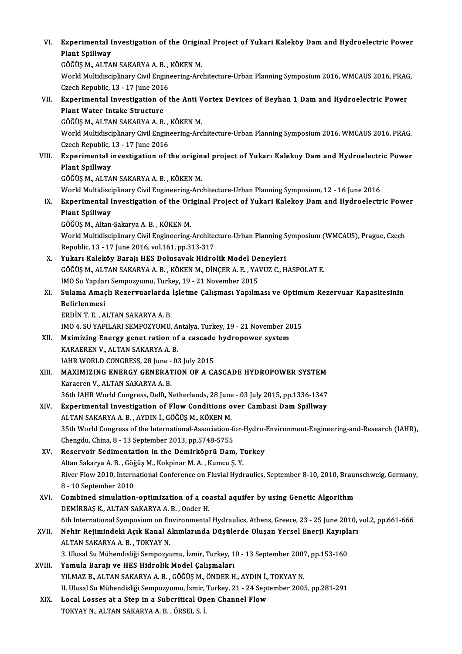| VI.    | Experimental Investigation of the Original Project of Yukari Kaleköy Dam and Hydroelectric Power                          |
|--------|---------------------------------------------------------------------------------------------------------------------------|
|        | <b>Plant Spillway</b>                                                                                                     |
|        | GÖĞÜŞ M., ALTAN SAKARYA A. B., KÖKEN M.                                                                                   |
|        | World Multidisciplinary Civil Engineering-Architecture-Urban Planning Symposium 2016, WMCAUS 2016, PRAG,                  |
|        | Czech Republic, 13 - 17 June 2016                                                                                         |
| VII.   | Experimental Investigation of the Anti Vortex Devices of Beyhan 1 Dam and Hydroelectric Power                             |
|        | Plant Water Intake Structure                                                                                              |
|        | GÖĞÜŞ M., ALTAN SAKARYA A. B., KÖKEN M.                                                                                   |
|        | World Multidisciplinary Civil Engineering-Architecture-Urban Planning Symposium 2016, WMCAUS 2016, PRAG,                  |
|        | Czech Republic, 13 - 17 June 2016                                                                                         |
| VIII.  | Experimental investigation of the original project of Yukarı Kalekoy Dam and Hydroelectric Power                          |
|        | <b>Plant Spillway</b>                                                                                                     |
|        | GÖĞÜŞ M., ALTAN SAKARYA A. B., KÖKEN M.                                                                                   |
|        | World Multidisciplinary Civil Engineering-Architecture-Urban Planning Symposium, 12 - 16 June 2016                        |
| IX.    | Experimental Investigation of the Original Project of Yukari Kalekoy Dam and Hydroelectric Power<br><b>Plant Spillway</b> |
|        | GÖĞÜŞ M., Altan-Sakarya A. B., KÖKEN M.                                                                                   |
|        | World Multidisciplinary Civil Engineering-Architecture-Urban Planning Symposium (WMCAUS), Prague, Czech                   |
|        | Republic, 13 - 17 June 2016, vol.161, pp.313-317                                                                          |
| Х.     | Yukarı Kaleköy Barajı HES Dolusavak Hidrolik Model Deneyleri                                                              |
|        | GÖĞÜŞ M., ALTAN SAKARYA A. B. , KÖKEN M., DİNÇER A. E. , YAVUZ C., HASPOLAT E.                                            |
|        | IMO Su Yapıları Sempozyumu, Turkey, 19 - 21 November 2015                                                                 |
| XI.    | Sulama Amaçlı Rezervuarlarda İşletme Çalışması Yapılması ve Optimum Rezervuar Kapasitesinin                               |
|        | Belirlenmesi                                                                                                              |
|        | ERDIN T. E., ALTAN SAKARYA A. B.                                                                                          |
|        | IMO 4. SU YAPILARI SEMPOZYUMU, Antalya, Turkey, 19 - 21 November 2015                                                     |
| XII.   | Mximizing Energy genet ration of a cascade hydropower system                                                              |
|        | KARAEREN V., ALTAN SAKARYA A.B.                                                                                           |
|        | IAHR WORLD CONGRESS, 28 June - 03 July 2015                                                                               |
| XIII.  | <b>MAXIMIZING ENERGY GENERATION OF A CASCADE HYDROPOWER SYSTEM</b>                                                        |
|        | Karaeren V., ALTAN SAKARYA A. B.                                                                                          |
|        | 36th IAHR World Congress, Delft, Netherlands, 28 June - 03 July 2015, pp.1336-1347                                        |
| XIV.   | Experimental Investigation of Flow Conditions over Cambasi Dam Spillway                                                   |
|        | ALTAN SAKARYA A. B. , AYDIN İ., GÖĞÜŞ M., KÖKEN M.                                                                        |
|        | 35th World Congress of the International-Association-for-Hydro-Environment-Engineering-and-Research (IAHR),               |
|        | Chengdu, China, 8 - 13 September 2013, pp.5748-5755<br>Reservoir Sedimentation in the Demirköprü Dam, Turkey              |
| XV.    | Altan Sakarya A. B., Göğüş M., Kokpinar M. A., Kumcu Ş. Y.                                                                |
|        | River Flow 2010, International Conference on Fluvial Hydraulics, September 8-10, 2010, Braunschweig, Germany,             |
|        | 8 - 10 September 2010                                                                                                     |
| XVI.   | Combined simulation-optimization of a coastal aquifer by using Genetic Algorithm                                          |
|        | DEMİRBAŞ K., ALTAN SAKARYA A. B., Onder H.                                                                                |
|        | 6th International Symposium on Environmental Hydraulics, Athens, Greece, 23 - 25 June 2010, vol.2, pp.661-666             |
| XVII.  | Nehir Rejimindeki Açık Kanal Akımlarında Düşülerde Oluşan Yersel Enerji Kayıpları                                         |
|        | ALTAN SAKARYA A. B., TOKYAY N.                                                                                            |
|        | 3. Ulusal Su Mühendisliği Sempozyumu, İzmir, Turkey, 10 - 13 September 2007, pp.153-160                                   |
| XVIII. | Yamula Barajı ve HES Hidrolik Model Çalışmaları                                                                           |
|        | YILMAZ B., ALTAN SAKARYA A. B. , GÖĞÜŞ M., ÖNDER H., AYDIN İ., TOKYAY N.                                                  |
|        | II. Ulusal Su Mühendisliği Sempozyumu, İzmir, Turkey, 21 - 24 September 2005, pp.281-291                                  |
| XIX.   | Local Losses at a Step in a Subcritical Open Channel Flow                                                                 |
|        | TOKYAY N., ALTAN SAKARYA A. B., ÖRSEL S. İ.                                                                               |
|        |                                                                                                                           |